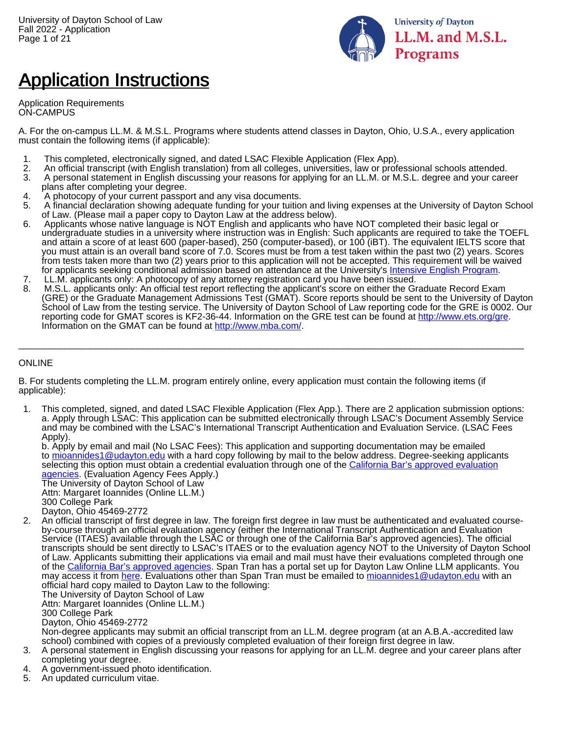

# Application Instructions

Application Requirements ON-CAMPUS

A. For the on-campus LL.M. & M.S.L. Programs where students attend classes in Dayton, Ohio, U.S.A., every application must contain the following items (if applicable):

- 1. This completed, electronically signed, and dated LSAC Flexible Application (Flex App).
- 2. An official transcript (with English translation) from all colleges, universities, law or professional schools attended.
- A personal statement in English discussing your reasons for applying for an LL.M. or M.S.L. degree and your career plans after completing your degree.
- 4. A photocopy of your current passport and any visa documents.
- 5. A financial declaration showing adequate funding for your tuition and living expenses at the University of Dayton School of Law. (Please mail a paper copy to Dayton Law at the address below).
- 6. Applicants whose native language is NOT English and applicants who have NOT completed their basic legal or undergraduate studies in a university where instruction was in English: Such applicants are required to take the TOEFL and attain a score of at least 600 (paper-based), 250 (computer-based), or 100 (iBT). The equivalent IELTS score that you must attain is an overall band score of 7.0. Scores must be from a test taken within the past two (2) years. Scores from tests taken more than two (2) years prior to this application will not be accepted. This requirement will be waived for applicants seeking conditional admission based on attendance at the University's [Intensive English Program.](https://www.udayton.edu/international/iep/)
- 7. LL.M. applicants only: A photocopy of any attorney registration card you have been issued.<br>8. M.S.L. applicants only: An official test report reflecting the applicant's score on either the Gi
- 8. M.S.L. applicants only: An official test report reflecting the applicant's score on either the Graduate Record Exam (GRE) or the Graduate Management Admissions Test (GMAT). Score reports should be sent to the University of Dayton School of Law from the testing service. The University of Dayton School of Law reporting code for the GRE is 0002. Our reporting code for GMAT scores is KF2-36-44. Information on the GRE test can be found at <http://www.ets.org/gre>. Information on the GMAT can be found at [http://www.mba.com/.](http://www.mba.com/)

 $\Box$ 

#### ONLINE

B. For students completing the LL.M. program entirely online, every application must contain the following items (if applicable):

1. This completed, signed, and dated LSAC Flexible Application (Flex App.). There are 2 application submission options: a. Apply through LSAC: This application can be submitted electronically through LSAC's Document Assembly Service and may be combined with the LSAC's International Transcript Authentication and Evaluation Service. (LSAC Fees Apply).

b. Apply by email and mail (No LSAC Fees): This application and supporting documentation may be emailed to [mioannides1@udayton.edu](mailto:mioannides1@udayton.edu) with a hard copy following by mail to the below address. Degree-seeking applicants selecting this option must obtain a credential evaluation through one of the [California Bar's approved evaluation](http://www.calbar.ca.gov/Portals/0/documents/admissions/Education/Credential_Eval_Serv.pdf) [agencies](http://www.calbar.ca.gov/Portals/0/documents/admissions/Education/Credential_Eval_Serv.pdf). (Evaluation Agency Fees Apply.)

The University of Dayton School of Law Attn: Margaret Ioannides (Online LL.M.) 300 College Park Dayton, Ohio 45469-2772

2. An official transcript of first degree in law. The foreign first degree in law must be authenticated and evaluated courseby-course through an official evaluation agency (either the International Transcript Authentication and Evaluation Service (ITAES) available through the LSAC or through one of the California Bar's approved agencies). The official transcripts should be sent directly to LSAC's ITAES or to the evaluation agency NOT to the University of Dayton School of Law. Applicants submitting their applications via email and mail must have their evaluations completed through one of the [California Bar's approved agencies.](http://www.calbar.ca.gov/Portals/0/documents/admissions/Education/Credential_Eval_Serv.pdf) Span Tran has a portal set up for Dayton Law Online LLM applicants. You may access it from [here](https://spanside.secure.force.com/SpantranApplication?Id=f753406d-1497-4b1b-abeb-a9237e1a2126). Evaluations other than Span Tran must be emailed to [mioannides1@udayton.edu](mailto:mioannides1@udayton.edu) with an official hard copy mailed to Dayton Law to the following:

The University of Dayton School of Law Attn: Margaret Ioannides (Online LL.M.) 300 College Park

Dayton, Ohio 45469-2772

Non-degree applicants may submit an official transcript from an LL.M. degree program (at an A.B.A.-accredited law school) combined with copies of a previously completed evaluation of their foreign first degree in law.

- 3. A personal statement in English discussing your reasons for applying for an LL.M. degree and your career plans after completing your degree.
- 4. A government-issued photo identification.
- 5. An updated curriculum vitae.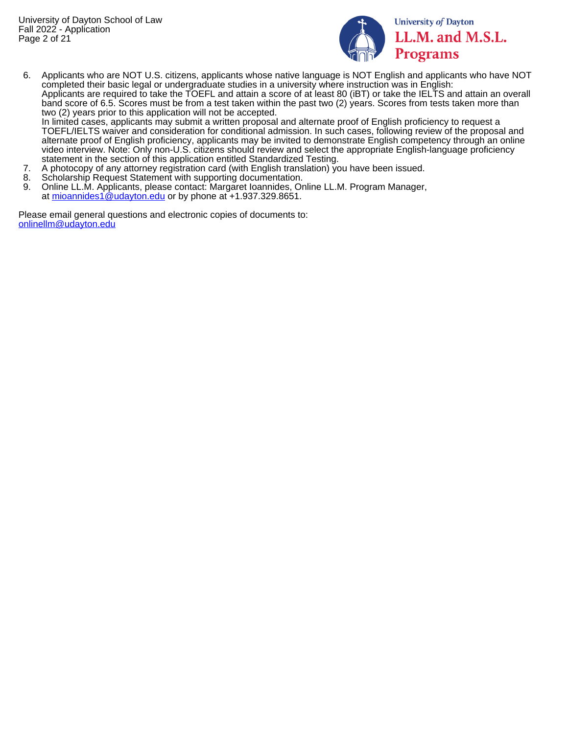

**University of Dayton** LL.M. and M.S.L. Programs

6. Applicants who are NOT U.S. citizens, applicants whose native language is NOT English and applicants who have NOT completed their basic legal or undergraduate studies in a university where instruction was in English: Applicants are required to take the TOEFL and attain a score of at least 80 (iBT) or take the IELTS and attain an overall band score of 6.5. Scores must be from a test taken within the past two (2) years. Scores from tests taken more than two (2) years prior to this application will not be accepted.

In limited cases, applicants may submit a written proposal and alternate proof of English proficiency to request a TOEFL/IELTS waiver and consideration for conditional admission. In such cases, following review of the proposal and alternate proof of English proficiency, applicants may be invited to demonstrate English competency through an online video interview. Note: Only non-U.S. citizens should review and select the appropriate English-language proficiency statement in the section of this application entitled Standardized Testing.

- 7. A photocopy of any attorney registration card (with English translation) you have been issued.
- 8. Scholarship Request Statement with supporting documentation.<br>9. Online LL M, Applicants, please contact: Margaret Ioannides, Or
- 9. Online LL.M. Applicants, please contact: Margaret Ioannides, Online LL.M. Program Manager, at [mioannides1@udayton.edu](mailto:mioannides1@udayton.edu) or by phone at +1.937.329.8651.

Please email general questions and electronic copies of documents to: [onlinellm@udayton.edu](mailto:onlinellm@udayton.edu)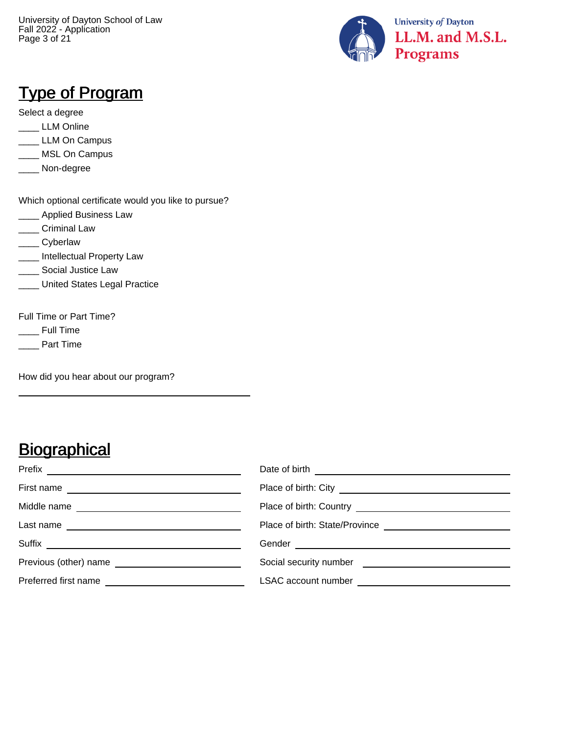University of Dayton School of Law Fall 2022 - Application Page 3 of 21



#### Type of Program

Select a degree

- \_\_\_\_ LLM Online
- LLM On Campus
- \_\_\_\_ MSL On Campus
- \_\_\_\_ Non-degree

Which optional certificate would you like to pursue?

- **\_\_\_\_\_** Applied Business Law
- \_\_\_\_ Criminal Law
- \_\_\_\_ Cyberlaw
- **\_\_\_\_** Intellectual Property Law
- **\_\_\_\_\_** Social Justice Law
- **Lacks** Legal Practice

Full Time or Part Time?

- \_\_\_\_ Full Time
- \_\_\_\_ Part Time

How did you hear about our program?

### **Biographical**

|                                                                                                                                                                                                                                                    | Date of birth <u>example and the set of the set of the set of the set of the set of the set of the set of the set of the set of the set of the set of the set of the set of the set of the set of the set of the set of the set </u> |
|----------------------------------------------------------------------------------------------------------------------------------------------------------------------------------------------------------------------------------------------------|--------------------------------------------------------------------------------------------------------------------------------------------------------------------------------------------------------------------------------------|
| First name<br><u>and the contract of the contract of the contract of the contract of the contract of the contract of the contract of the contract of the contract of the contract of the contract of the contract of the contract of the contr</u> |                                                                                                                                                                                                                                      |
|                                                                                                                                                                                                                                                    |                                                                                                                                                                                                                                      |
| Last name<br><u> 1989 - Johann Stein, mars an deus Amerikaansk kommunister (</u>                                                                                                                                                                   |                                                                                                                                                                                                                                      |
| Suffix<br><u> 1989 - Johann Stein, mars an deus Amerikaansk kommunister (</u>                                                                                                                                                                      |                                                                                                                                                                                                                                      |
|                                                                                                                                                                                                                                                    | Social security number <b>Social security number</b>                                                                                                                                                                                 |
| Preferred first name                                                                                                                                                                                                                               |                                                                                                                                                                                                                                      |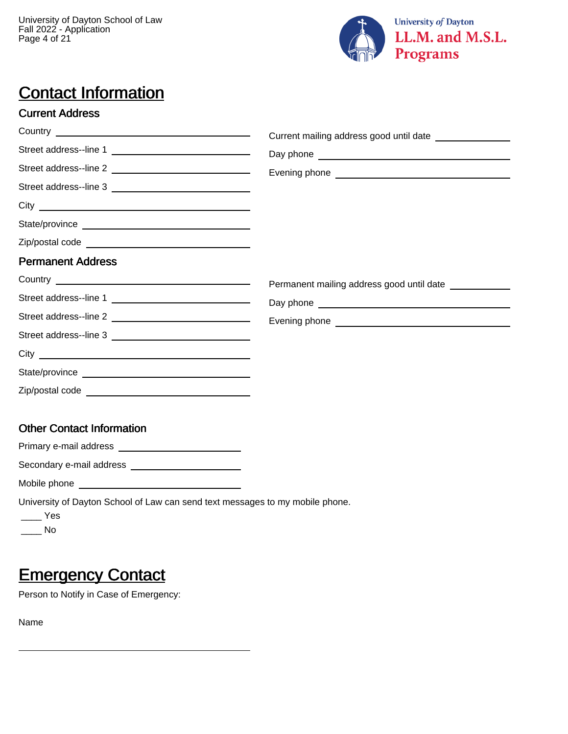

## **Contact Information**

#### Current Address

|                                                                               | Current mailing address good until date ________________ |
|-------------------------------------------------------------------------------|----------------------------------------------------------|
| Street address--line 1                                                        |                                                          |
|                                                                               |                                                          |
|                                                                               |                                                          |
|                                                                               |                                                          |
|                                                                               |                                                          |
|                                                                               |                                                          |
| <b>Permanent Address</b>                                                      |                                                          |
|                                                                               | Permanent mailing address good until date                |
| Street address--line 1                                                        |                                                          |
|                                                                               |                                                          |
|                                                                               |                                                          |
|                                                                               |                                                          |
|                                                                               |                                                          |
|                                                                               |                                                          |
| <b>Other Contact Information</b>                                              |                                                          |
|                                                                               |                                                          |
| Secondary e-mail address ________________________                             |                                                          |
|                                                                               |                                                          |
| University of Dayton School of Law can send text messages to my mobile phone. |                                                          |

\_\_\_\_ Yes

 $\_\_$  No

### **Emergency Contact**

Person to Notify in Case of Emergency:

Name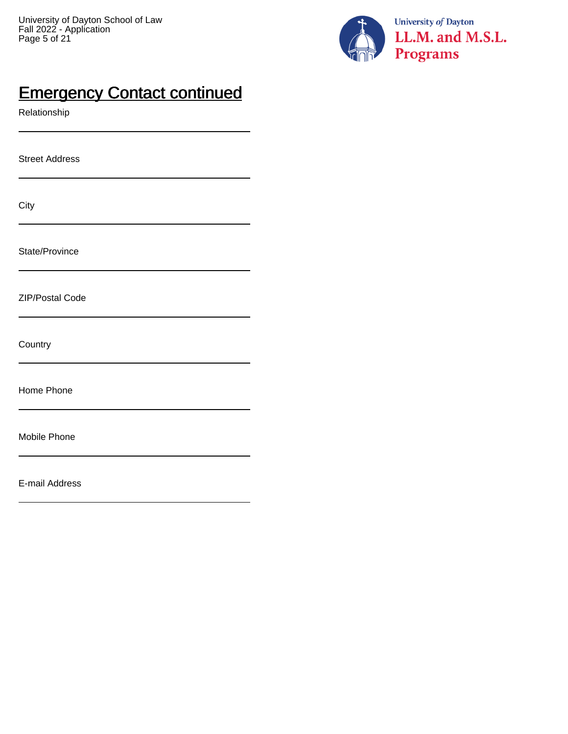

### **Emergency Contact continued**

Relationship

Street Address

| I<br>×<br>v | $\sim$ |  |
|-------------|--------|--|

State/Province

ZIP/Postal Code

**Country** 

Home Phone

Mobile Phone

E-mail Address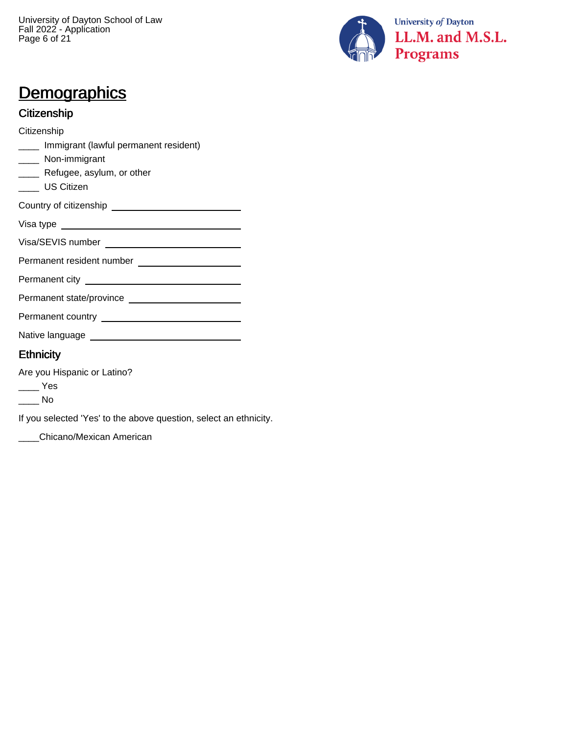University of Dayton School of Law Fall 2022 - Application Page 6 of 21



### **Demographics**

#### Citizenship

**Citizenship** 

- \_\_\_\_ Immigrant (lawful permanent resident)
- \_\_\_\_ Non-immigrant
- **\_\_\_\_** Refugee, asylum, or other
- \_\_\_\_ US Citizen

| Country of citizenship |  |
|------------------------|--|
|                        |  |

| Visa type |  |
|-----------|--|
|-----------|--|

Visa/SEVIS number

Permanent resident number

Permanent city

Permanent state/province

Permanent country

Native language

#### Ethnicity

Are you Hispanic or Latino?

 $\rule{1em}{0.15mm}$  Yes

 $\_\_$  No

If you selected 'Yes' to the above question, select an ethnicity.

\_\_\_\_Chicano/Mexican American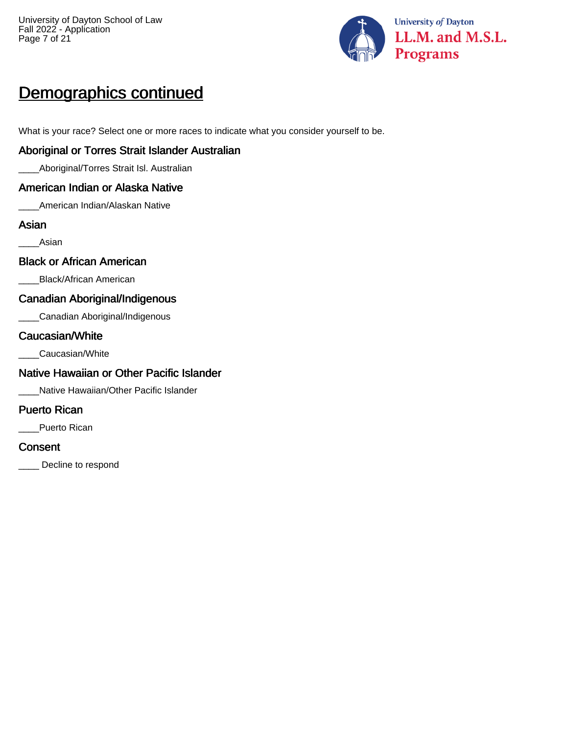

## Demographics continued

What is your race? Select one or more races to indicate what you consider yourself to be.

#### Aboriginal or Torres Strait Islander Australian

\_\_\_\_Aboriginal/Torres Strait Isl. Australian

#### American Indian or Alaska Native

\_\_\_\_American Indian/Alaskan Native

#### Asian

\_\_\_\_Asian

#### Black or African American

\_\_\_\_Black/African American

#### Canadian Aboriginal/Indigenous

\_\_\_\_Canadian Aboriginal/Indigenous

#### Caucasian/White

\_\_\_\_Caucasian/White

#### Native Hawaiian or Other Pacific Islander

\_\_\_\_Native Hawaiian/Other Pacific Islander

#### Puerto Rican

Puerto Rican

#### **Consent**

Decline to respond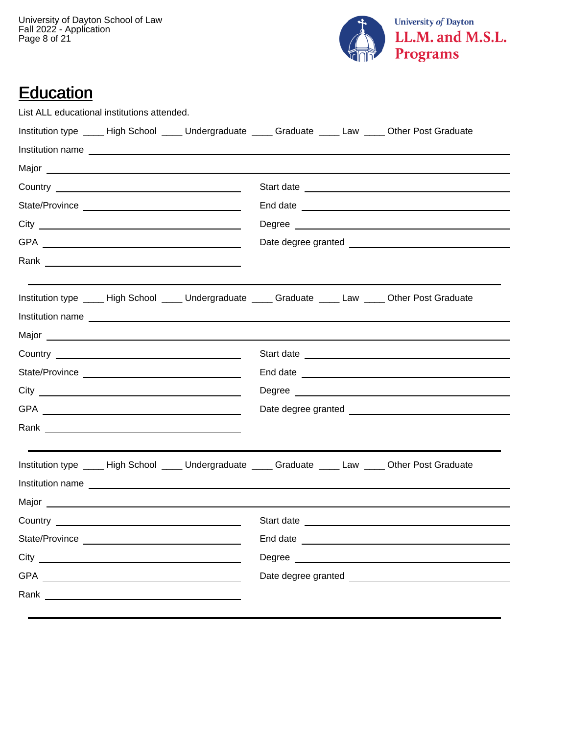University of Dayton School of Law Fall 2022 - Application Page 8 of 21



### Education

|           | List ALL educational institutions attended.                                               |                  |  |                                                                                                               |
|-----------|-------------------------------------------------------------------------------------------|------------------|--|---------------------------------------------------------------------------------------------------------------|
|           |                                                                                           |                  |  | Institution type _____ High School _____ Undergraduate _____ Graduate _____ Law _____ Other Post Graduate     |
|           |                                                                                           | Institution name |  |                                                                                                               |
|           |                                                                                           |                  |  |                                                                                                               |
|           |                                                                                           |                  |  |                                                                                                               |
|           |                                                                                           |                  |  |                                                                                                               |
|           |                                                                                           |                  |  |                                                                                                               |
|           |                                                                                           |                  |  |                                                                                                               |
|           |                                                                                           |                  |  |                                                                                                               |
|           |                                                                                           |                  |  | Institution type _____ High School _____ Undergraduate _____ Graduate _____ Law _____ Other Post Graduate     |
|           |                                                                                           |                  |  |                                                                                                               |
|           |                                                                                           |                  |  |                                                                                                               |
|           |                                                                                           |                  |  |                                                                                                               |
|           |                                                                                           |                  |  |                                                                                                               |
|           |                                                                                           |                  |  |                                                                                                               |
|           |                                                                                           |                  |  |                                                                                                               |
|           |                                                                                           |                  |  |                                                                                                               |
|           |                                                                                           |                  |  | Institution type _____ High School _____ Undergraduate _____ Graduate _____ Law _____ Other Post Graduate     |
|           |                                                                                           | Institution name |  |                                                                                                               |
|           |                                                                                           |                  |  |                                                                                                               |
| Country _ | the control of the control of the control of the control of the control of the control of |                  |  | Start date and the start of the start of the start of the start of the start of the start of the start of the |
|           |                                                                                           |                  |  |                                                                                                               |
|           |                                                                                           |                  |  |                                                                                                               |
|           |                                                                                           |                  |  |                                                                                                               |
|           |                                                                                           |                  |  |                                                                                                               |
|           |                                                                                           |                  |  |                                                                                                               |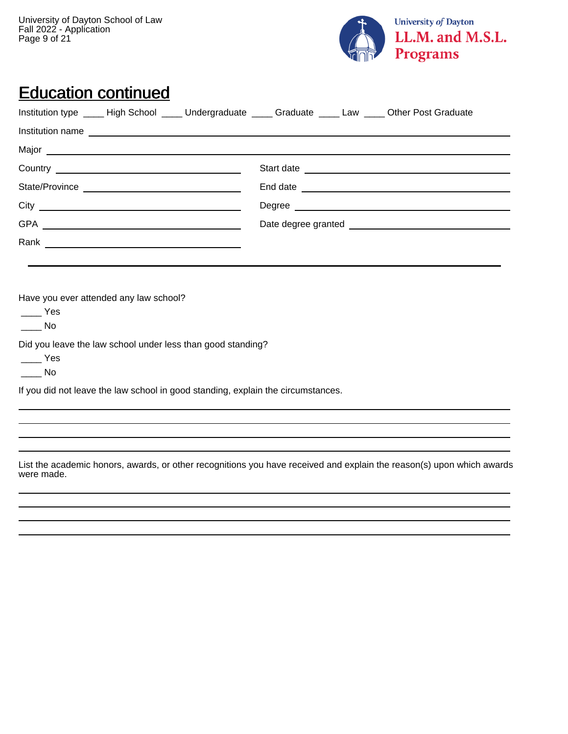University of Dayton School of Law Fall 2022 - Application Page 9 of 21



#### Education continued

|                                        |                                                                                                                                                                                                                                | Institution type _____ High School _____ Undergraduate _____ Graduate _____ Law _____ Other Post Graduate |
|----------------------------------------|--------------------------------------------------------------------------------------------------------------------------------------------------------------------------------------------------------------------------------|-----------------------------------------------------------------------------------------------------------|
|                                        | Institution name example and the contract of the contract of the contract of the contract of the contract of the contract of the contract of the contract of the contract of the contract of the contract of the contract of t |                                                                                                           |
|                                        |                                                                                                                                                                                                                                |                                                                                                           |
|                                        |                                                                                                                                                                                                                                |                                                                                                           |
|                                        |                                                                                                                                                                                                                                |                                                                                                           |
|                                        |                                                                                                                                                                                                                                |                                                                                                           |
|                                        |                                                                                                                                                                                                                                |                                                                                                           |
|                                        |                                                                                                                                                                                                                                |                                                                                                           |
|                                        |                                                                                                                                                                                                                                |                                                                                                           |
|                                        |                                                                                                                                                                                                                                |                                                                                                           |
| Have you ever attended any law school? |                                                                                                                                                                                                                                |                                                                                                           |
| <b>Parade Yes</b>                      |                                                                                                                                                                                                                                |                                                                                                           |
| $\_\_$ No                              |                                                                                                                                                                                                                                |                                                                                                           |

Did you leave the law school under less than good standing?

 $\equiv$  Yes

 $\_\_$  No

If you did not leave the law school in good standing, explain the circumstances.

List the academic honors, awards, or other recognitions you have received and explain the reason(s) upon which awards were made.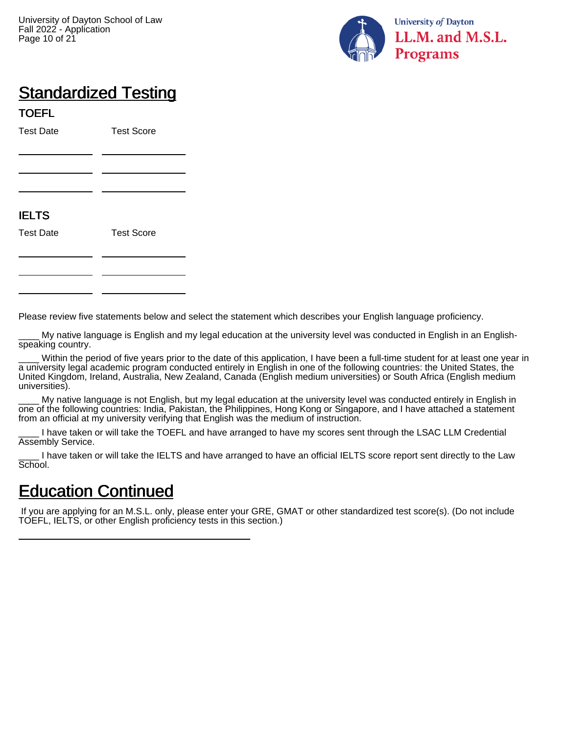

## **Standardized Testing**

TOEFL Test Date Test Score IELTS Test Date Test Score

Please review five statements below and select the statement which describes your English language proficiency.

My native language is English and my legal education at the university level was conducted in English in an Englishspeaking country.

Within the period of five years prior to the date of this application, I have been a full-time student for at least one year in a university legal academic program conducted entirely in English in one of the following countries: the United States, the United Kingdom, Ireland, Australia, New Zealand, Canada (English medium universities) or South Africa (English medium universities).

My native language is not English, but my legal education at the university level was conducted entirely in English in one of the following countries: India, Pakistan, the Philippines, Hong Kong or Singapore, and I have attached a statement from an official at my university verifying that English was the medium of instruction.

I have taken or will take the TOEFL and have arranged to have my scores sent through the LSAC LLM Credential Assembly Service.

I have taken or will take the IELTS and have arranged to have an official IELTS score report sent directly to the Law School.

#### Education Continued

 If you are applying for an M.S.L. only, please enter your GRE, GMAT or other standardized test score(s). (Do not include TOEFL, IELTS, or other English proficiency tests in this section.)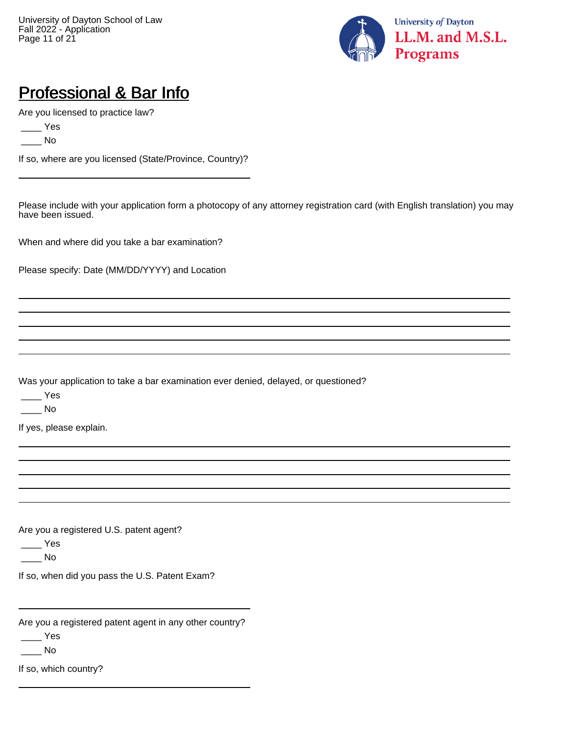

### Professional & Bar Info

Are you licensed to practice law?

 $\rule{1em}{0.15mm}$  Yes

 $\_\_$  No

If so, where are you licensed (State/Province, Country)?

Please include with your application form a photocopy of any attorney registration card (with English translation) you may have been issued.

When and where did you take a bar examination?

Please specify: Date (MM/DD/YYYY) and Location

Was your application to take a bar examination ever denied, delayed, or questioned?

 $\rule{1em}{0.15mm}$  Yes

\_\_\_\_ No

If yes, please explain.

Are you a registered U.S. patent agent?

 $\rule{1em}{0.15mm}$  Yes

 $\_\_$  No

If so, when did you pass the U.S. Patent Exam?

Are you a registered patent agent in any other country?

 $\rule{1em}{0.15mm}$  Yes

 $\overline{\phantom{a}}$  No

If so, which country?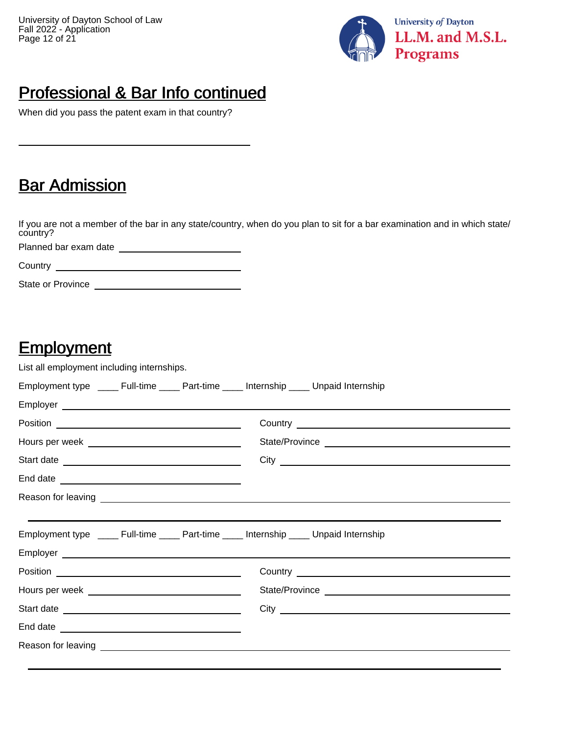

### Professional & Bar Info continued

When did you pass the patent exam in that country?

### **Bar Admission**

If you are not a member of the bar in any state/country, when do you plan to sit for a bar examination and in which state/ country?

Planned bar exam date

**Country** 

State or Province

#### **Employment**

List all employment including internships.

|  | Employment type _____ Full-time _____ Part-time _____ Internship ____ Unpaid Internship |
|--|-----------------------------------------------------------------------------------------|
|  |                                                                                         |
|  |                                                                                         |
|  |                                                                                         |
|  |                                                                                         |
|  |                                                                                         |
|  |                                                                                         |
|  |                                                                                         |
|  | Employment type _____ Full-time _____ Part-time _____ Internship ____ Unpaid Internship |
|  |                                                                                         |
|  |                                                                                         |
|  |                                                                                         |
|  |                                                                                         |
|  |                                                                                         |
|  |                                                                                         |
|  |                                                                                         |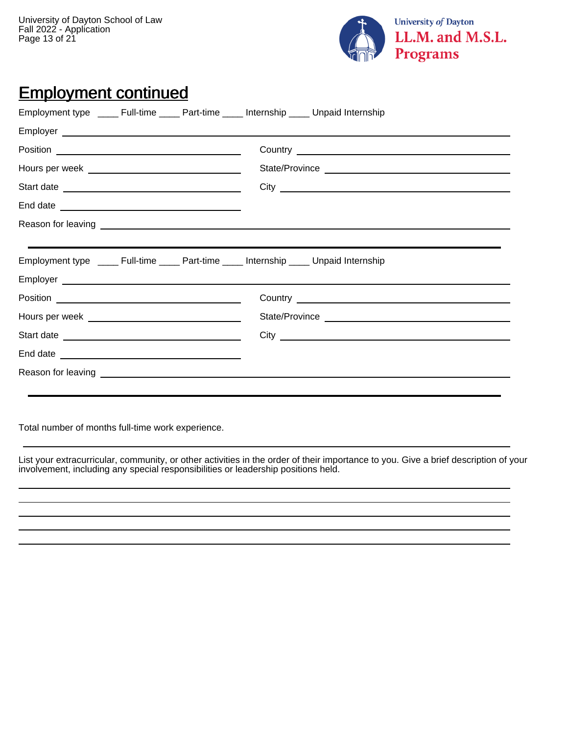University of Dayton School of Law Fall 2022 - Application Page 13 of 21



## Employment continued

|  | Employment type ______ Full-time ______ Part-time _____ Internship _____ Unpaid Internship                                                                                                                                          |
|--|-------------------------------------------------------------------------------------------------------------------------------------------------------------------------------------------------------------------------------------|
|  |                                                                                                                                                                                                                                     |
|  |                                                                                                                                                                                                                                     |
|  |                                                                                                                                                                                                                                     |
|  |                                                                                                                                                                                                                                     |
|  |                                                                                                                                                                                                                                     |
|  |                                                                                                                                                                                                                                     |
|  |                                                                                                                                                                                                                                     |
|  | Employment type _____ Full-time _____ Part-time _____ Internship ____ Unpaid Internship                                                                                                                                             |
|  |                                                                                                                                                                                                                                     |
|  | Country <u>experience</u> and the control of the control of the control of the control of the control of the control of the control of the control of the control of the control of the control of the control of the control of th |
|  |                                                                                                                                                                                                                                     |
|  |                                                                                                                                                                                                                                     |
|  |                                                                                                                                                                                                                                     |
|  |                                                                                                                                                                                                                                     |
|  |                                                                                                                                                                                                                                     |
|  |                                                                                                                                                                                                                                     |

Total number of months full-time work experience.

List your extracurricular, community, or other activities in the order of their importance to you. Give a brief description of your involvement, including any special responsibilities or leadership positions held.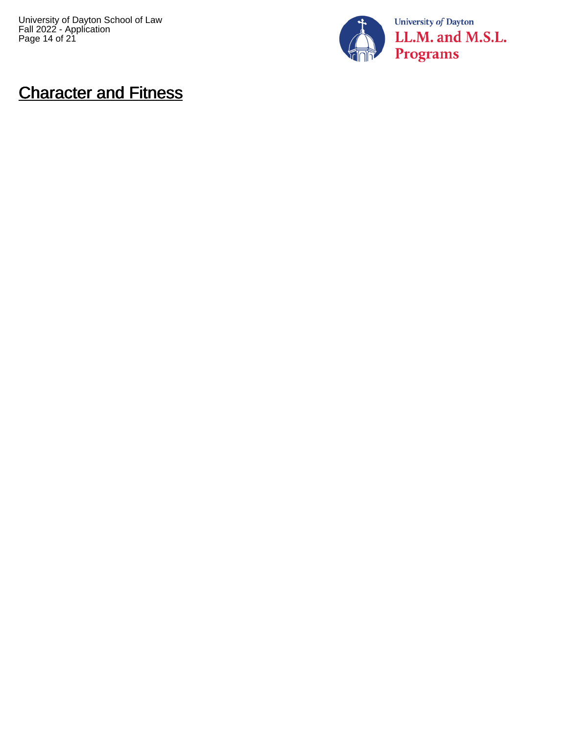University of Dayton School of Law Fall 2022 - Application Page 14 of 21



### Character and Fitness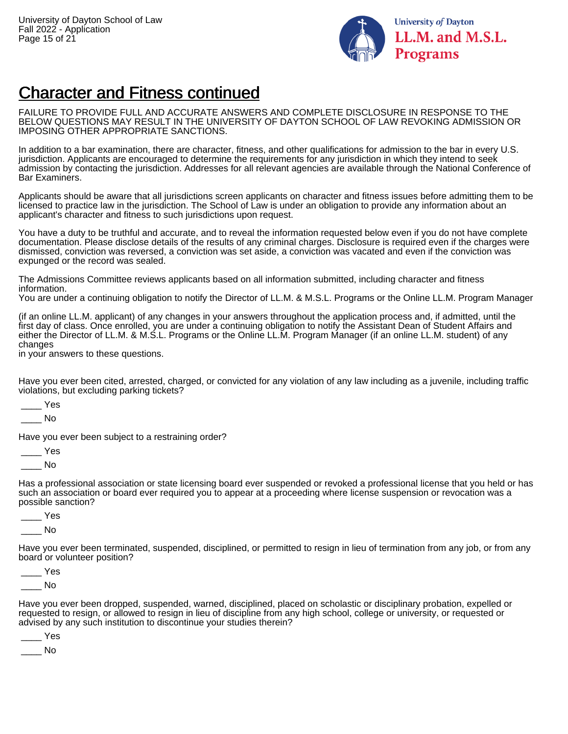

### Character and Fitness continued

FAILURE TO PROVIDE FULL AND ACCURATE ANSWERS AND COMPLETE DISCLOSURE IN RESPONSE TO THE BELOW QUESTIONS MAY RESULT IN THE UNIVERSITY OF DAYTON SCHOOL OF LAW REVOKING ADMISSION OR IMPOSING OTHER APPROPRIATE SANCTIONS.

In addition to a bar examination, there are character, fitness, and other qualifications for admission to the bar in every U.S. jurisdiction. Applicants are encouraged to determine the requirements for any jurisdiction in which they intend to seek admission by contacting the jurisdiction. Addresses for all relevant agencies are available through the National Conference of Bar Examiners.

Applicants should be aware that all jurisdictions screen applicants on character and fitness issues before admitting them to be licensed to practice law in the jurisdiction. The School of Law is under an obligation to provide any information about an applicant's character and fitness to such jurisdictions upon request.

You have a duty to be truthful and accurate, and to reveal the information requested below even if you do not have complete documentation. Please disclose details of the results of any criminal charges. Disclosure is required even if the charges were dismissed, conviction was reversed, a conviction was set aside, a conviction was vacated and even if the conviction was expunged or the record was sealed.

The Admissions Committee reviews applicants based on all information submitted, including character and fitness information.

You are under a continuing obligation to notify the Director of LL.M. & M.S.L. Programs or the Online LL.M. Program Manager

(if an online LL.M. applicant) of any changes in your answers throughout the application process and, if admitted, until the first day of class. Once enrolled, you are under a continuing obligation to notify the Assistant Dean of Student Affairs and either the Director of LL.M. & M.S.L. Programs or the Online LL.M. Program Manager (if an online LL.M. student) of any changes

in your answers to these questions.

Have you ever been cited, arrested, charged, or convicted for any violation of any law including as a juvenile, including traffic violations, but excluding parking tickets?

\_\_\_\_ Yes

\_\_\_\_ No

Have you ever been subject to a restraining order?

\_\_\_\_ Yes

 $\blacksquare$  No

Has a professional association or state licensing board ever suspended or revoked a professional license that you held or has such an association or board ever required you to appear at a proceeding where license suspension or revocation was a possible sanction?

- \_\_\_\_ Yes
- \_\_\_\_ No

Have you ever been terminated, suspended, disciplined, or permitted to resign in lieu of termination from any job, or from any board or volunteer position?

 $\_$  Yes

 $\blacksquare$  No

Have you ever been dropped, suspended, warned, disciplined, placed on scholastic or disciplinary probation, expelled or requested to resign, or allowed to resign in lieu of discipline from any high school, college or university, or requested or advised by any such institution to discontinue your studies therein?

\_\_\_\_ Yes

\_\_\_\_ No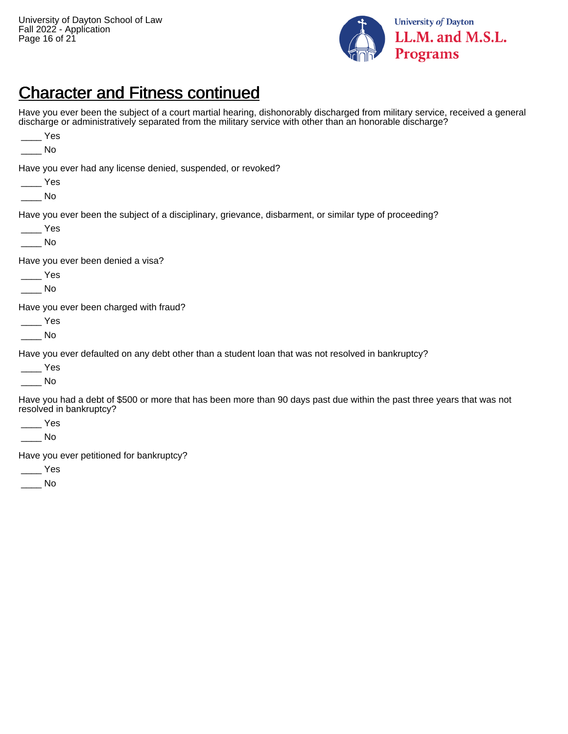\_\_\_\_ Yes



#### Character and Fitness continued

Have you ever been the subject of a court martial hearing, dishonorably discharged from military service, received a general discharge or administratively separated from the military service with other than an honorable discharge?

| No                                                                                                                                                       |
|----------------------------------------------------------------------------------------------------------------------------------------------------------|
| Have you ever had any license denied, suspended, or revoked?<br>Yes<br>No                                                                                |
| Have you ever been the subject of a disciplinary, grievance, disbarment, or similar type of proceeding?<br>Yes<br>No.                                    |
| Have you ever been denied a visa?<br>Yes<br>No                                                                                                           |
| Have you ever been charged with fraud?<br>Yes<br>No.                                                                                                     |
| Have you ever defaulted on any debt other than a student loan that was not resolved in bankruptcy?<br>Yes<br>No.                                         |
| Have you had a debt of \$500 or more that has been more than 90 days past due within the past three years that was not<br>resolved in bankruptcy?<br>Yes |

 $\overline{\phantom{a}}$  No

Have you ever petitioned for bankruptcy?

\_\_\_\_ Yes

 $\_\_$  No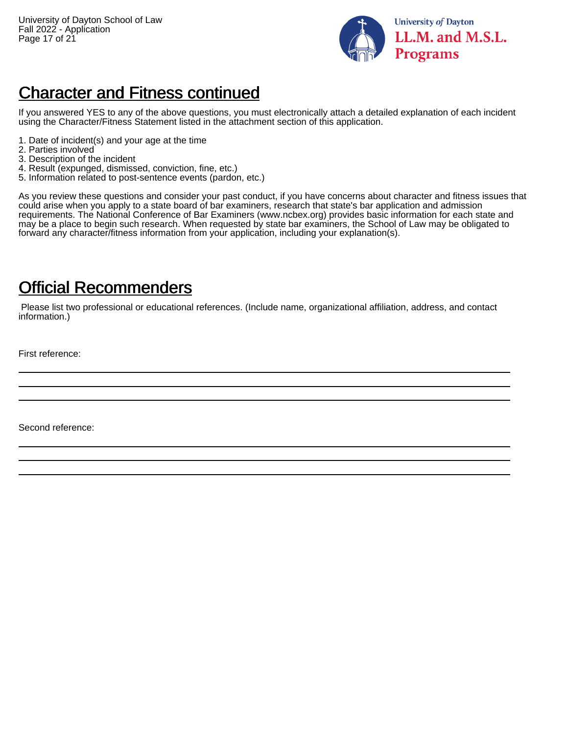

### Character and Fitness continued

If you answered YES to any of the above questions, you must electronically attach a detailed explanation of each incident using the Character/Fitness Statement listed in the attachment section of this application.

- 1. Date of incident(s) and your age at the time
- 2. Parties involved
- 3. Description of the incident
- 4. Result (expunged, dismissed, conviction, fine, etc.)
- 5. Information related to post-sentence events (pardon, etc.)

As you review these questions and consider your past conduct, if you have concerns about character and fitness issues that could arise when you apply to a state board of bar examiners, research that state's bar application and admission requirements. The National Conference of Bar Examiners (www.ncbex.org) provides basic information for each state and may be a place to begin such research. When requested by state bar examiners, the School of Law may be obligated to forward any character/fitness information from your application, including your explanation(s).

#### Official Recommenders

 Please list two professional or educational references. (Include name, organizational affiliation, address, and contact information.)

First reference:

Second reference: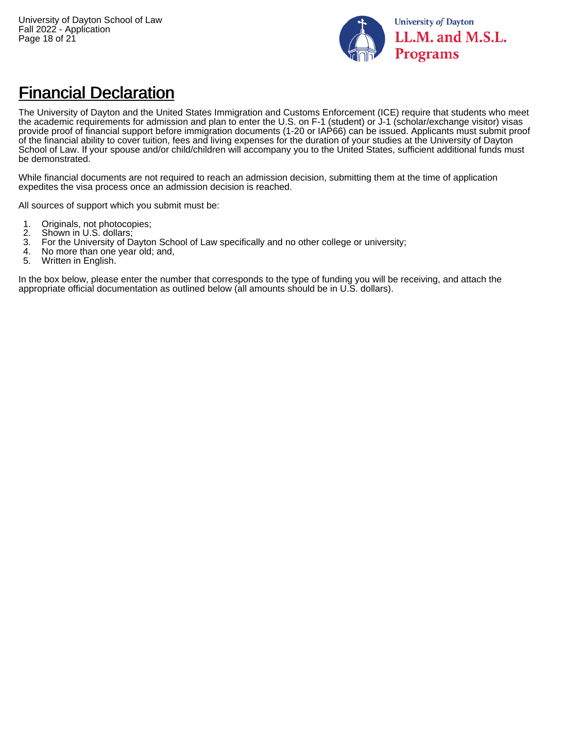

### Financial Declaration

The University of Dayton and the United States Immigration and Customs Enforcement (ICE) require that students who meet the academic requirements for admission and plan to enter the U.S. on F-1 (student) or J-1 (scholar/exchange visitor) visas provide proof of financial support before immigration documents (1-20 or IAP66) can be issued. Applicants must submit proof of the financial ability to cover tuition, fees and living expenses for the duration of your studies at the University of Dayton School of Law. If your spouse and/or child/children will accompany you to the United States, sufficient additional funds must be demonstrated.

While financial documents are not required to reach an admission decision, submitting them at the time of application expedites the visa process once an admission decision is reached.

All sources of support which you submit must be:

- 1. Originals, not photocopies;<br>2. Shown in U.S. dollars;
- 2. Shown in U.S. dollars;<br>3. For the University of D
- 3. For the University of Dayton School of Law specifically and no other college or university;
- 4. No more than one year old; and,
- 5. Written in English.

In the box below, please enter the number that corresponds to the type of funding you will be receiving, and attach the appropriate official documentation as outlined below (all amounts should be in U.S. dollars).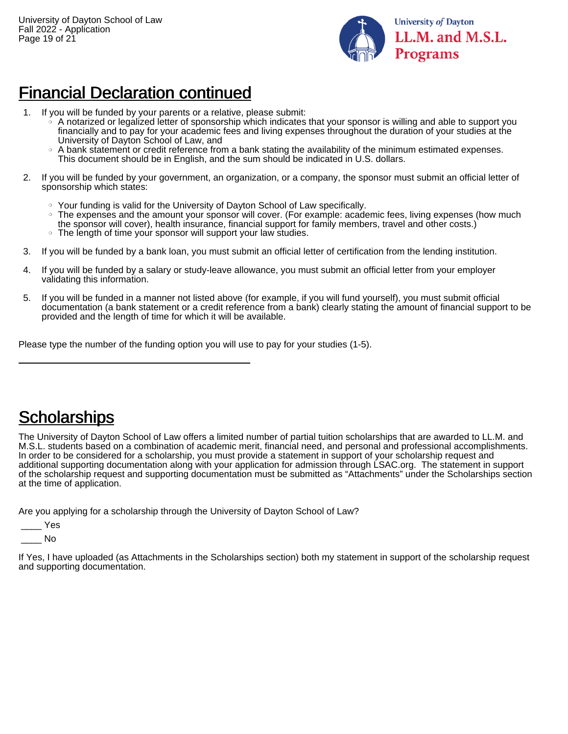

#### Financial Declaration continued

- 1. If you will be funded by your parents or a relative, please submit:
	- ❍ A notarized or legalized letter of sponsorship which indicates that your sponsor is willing and able to support you financially and to pay for your academic fees and living expenses throughout the duration of your studies at the University of Dayton School of Law, and
	- ❍ A bank statement or credit reference from a bank stating the availability of the minimum estimated expenses. This document should be in English, and the sum should be indicated in U.S. dollars.
- 2. If you will be funded by your government, an organization, or a company, the sponsor must submit an official letter of sponsorship which states:
	- ❍ Your funding is valid for the University of Dayton School of Law specifically.
	- ❍ The expenses and the amount your sponsor will cover. (For example: academic fees, living expenses (how much the sponsor will cover), health insurance, financial support for family members, travel and other costs.)
	- ❍ The length of time your sponsor will support your law studies.
- 3. If you will be funded by a bank loan, you must submit an official letter of certification from the lending institution.
- 4. If you will be funded by a salary or study-leave allowance, you must submit an official letter from your employer validating this information.
- 5. If you will be funded in a manner not listed above (for example, if you will fund yourself), you must submit official documentation (a bank statement or a credit reference from a bank) clearly stating the amount of financial support to be provided and the length of time for which it will be available.

Please type the number of the funding option you will use to pay for your studies (1-5).

### **Scholarships**

The University of Dayton School of Law offers a limited number of partial tuition scholarships that are awarded to LL.M. and M.S.L. students based on a combination of academic merit, financial need, and personal and professional accomplishments. In order to be considered for a scholarship, you must provide a statement in support of your scholarship request and additional supporting documentation along with your application for admission through LSAC.org. The statement in support of the scholarship request and supporting documentation must be submitted as "Attachments" under the Scholarships section at the time of application.

Are you applying for a scholarship through the University of Dayton School of Law?

\_\_\_\_ Yes

 $\blacksquare$  No

If Yes, I have uploaded (as Attachments in the Scholarships section) both my statement in support of the scholarship request and supporting documentation.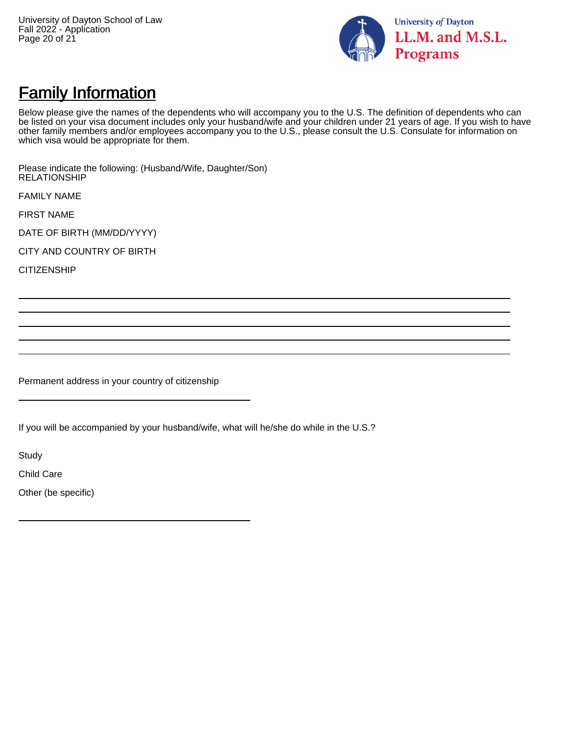

### **Family Information**

Below please give the names of the dependents who will accompany you to the U.S. The definition of dependents who can be listed on your visa document includes only your husband/wife and your children under 21 years of age. If you wish to have other family members and/or employees accompany you to the U.S., please consult the U.S. Consulate for information on which visa would be appropriate for them.

Please indicate the following: (Husband/Wife, Daughter/Son) RELATIONSHIP

FAMILY NAME

FIRST NAME

DATE OF BIRTH (MM/DD/YYYY)

CITY AND COUNTRY OF BIRTH

**CITIZENSHIP** 

Permanent address in your country of citizenship

If you will be accompanied by your husband/wife, what will he/she do while in the U.S.?

**Study** 

Child Care

Other (be specific)